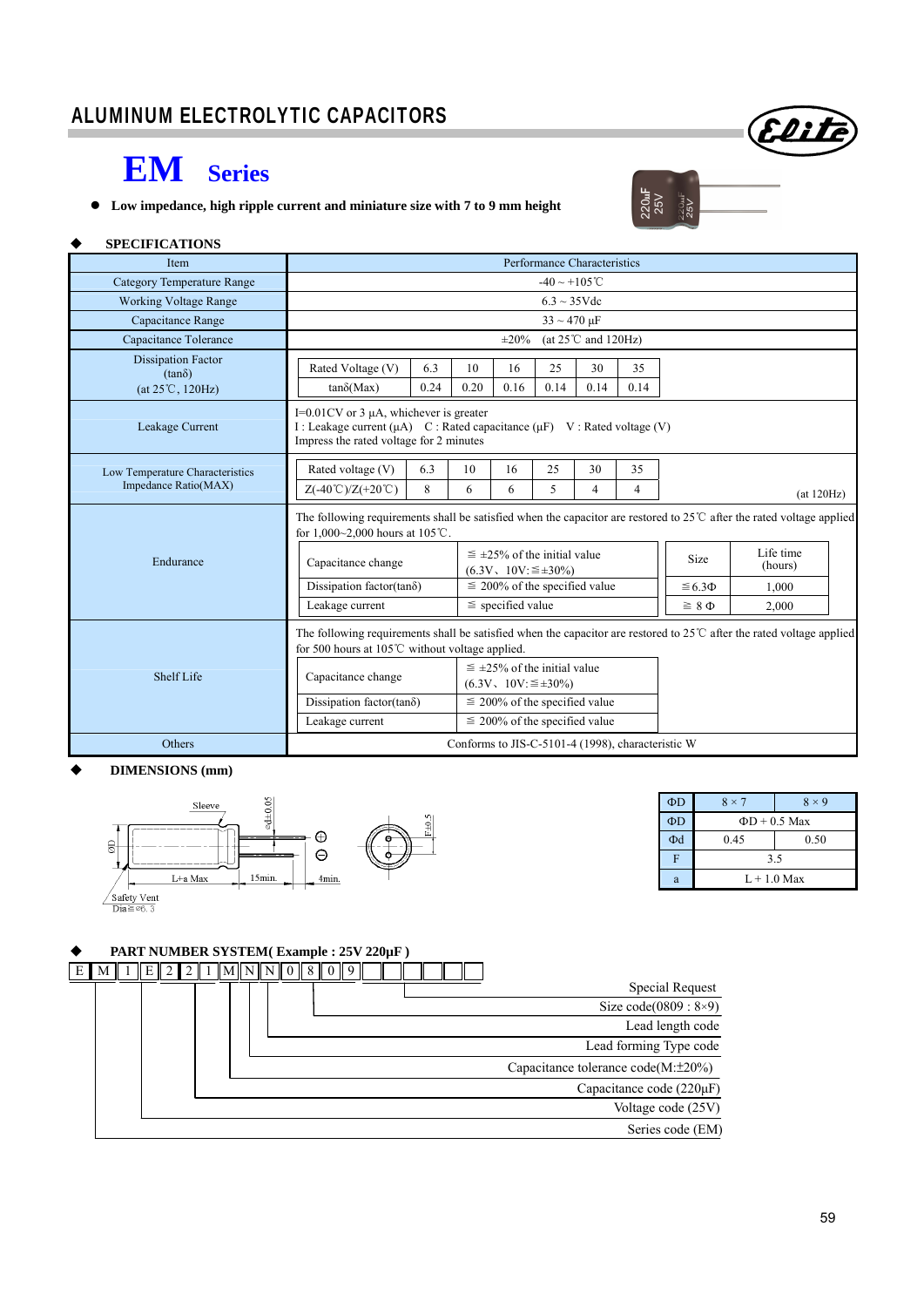# **EM Series**

**Low impedance, high ripple current and miniature size with 7 to 9 mm height** 



Elite

#### **SPECIFICATIONS**

| <b>Item</b>                                | Performance Characteristics                                                                                                                                                                  |      |                                    |                                                                 |      |                                  |               |                 |            |  |
|--------------------------------------------|----------------------------------------------------------------------------------------------------------------------------------------------------------------------------------------------|------|------------------------------------|-----------------------------------------------------------------|------|----------------------------------|---------------|-----------------|------------|--|
| Category Temperature Range                 | $-40 \sim +105$ °C                                                                                                                                                                           |      |                                    |                                                                 |      |                                  |               |                 |            |  |
| <b>Working Voltage Range</b>               | $6.3 \sim 35 \text{V}$ dc                                                                                                                                                                    |      |                                    |                                                                 |      |                                  |               |                 |            |  |
| Capacitance Range                          | $33 \sim 470 \,\mu F$                                                                                                                                                                        |      |                                    |                                                                 |      |                                  |               |                 |            |  |
| Capacitance Tolerance                      |                                                                                                                                                                                              |      |                                    | $\pm 20\%$                                                      |      | (at $25^{\circ}$ C and $120$ Hz) |               |                 |            |  |
| <b>Dissipation Factor</b><br>$(tan\delta)$ | Rated Voltage (V)                                                                                                                                                                            | 6.3  | 10                                 | 16                                                              | 25   | 30                               | 35            |                 |            |  |
| $(at 25^{\circ}C, 120Hz)$                  | $tan\delta(Max)$                                                                                                                                                                             | 0.24 | 0.20                               | 0.16                                                            | 0.14 | 0.14                             | 0.14          |                 |            |  |
| Leakage Current                            | I= $0.01$ CV or 3 $\mu$ A, whichever is greater<br>I : Leakage current (μA) C : Rated capacitance (μF) V : Rated voltage (V)<br>Impress the rated voltage for 2 minutes                      |      |                                    |                                                                 |      |                                  |               |                 |            |  |
| Low Temperature Characteristics            | Rated voltage (V)                                                                                                                                                                            | 6.3  | 10                                 | 16                                                              | 25   | 30                               | 35            |                 |            |  |
| Impedance Ratio(MAX)                       | $Z(-40^{\circ}\text{C})/Z(+20^{\circ}\text{C})$                                                                                                                                              | 8    | 6                                  | 6                                                               | 5    | 4                                | 4             |                 | (at 120Hz) |  |
|                                            | The following requirements shall be satisfied when the capacitor are restored to $25^{\circ}$ after the rated voltage applied<br>for $1,000~2,000$ hours at $105^{\circ}$ C.                 |      |                                    |                                                                 |      |                                  |               |                 |            |  |
| Endurance                                  | $\leq \pm 25\%$ of the initial value<br>Capacitance change<br>$(6.3V, 10V) \leq \pm 30\%$                                                                                                    |      |                                    |                                                                 | Size | Life time<br>(hours)             |               |                 |            |  |
|                                            | Dissipation factor(tan $\delta$ )                                                                                                                                                            |      |                                    | $\leq$ 200% of the specified value                              |      |                                  |               | $\leq 6.3 \Phi$ | 1.000      |  |
|                                            | Leakage current                                                                                                                                                                              |      |                                    | $\le$ specified value                                           |      |                                  | $\geq 8 \Phi$ | 2.000           |            |  |
|                                            | The following requirements shall be satisfied when the capacitor are restored to $25^{\circ}$ C after the rated voltage applied<br>for 500 hours at 105 $\degree$ C without voltage applied. |      |                                    |                                                                 |      |                                  |               |                 |            |  |
| Shelf Life                                 | Capacitance change                                                                                                                                                                           |      |                                    | $\leq$ ±25% of the initial value<br>$(6.3V, 10V) \leq \pm 30\%$ |      |                                  |               |                 |            |  |
|                                            | Dissipation factor(tan $\delta$ )                                                                                                                                                            |      |                                    | $\leq$ 200% of the specified value                              |      |                                  |               |                 |            |  |
|                                            | Leakage current                                                                                                                                                                              |      | $\leq$ 200% of the specified value |                                                                 |      |                                  |               |                 |            |  |
| Others                                     | Conforms to JIS-C-5101-4 (1998), characteristic W                                                                                                                                            |      |                                    |                                                                 |      |                                  |               |                 |            |  |

#### **DIMENSIONS (mm)**



| $\Phi$ D | $8 \times 7$       | $8 \times 9$ |  |  |  |  |  |
|----------|--------------------|--------------|--|--|--|--|--|
| ФD       | $\Phi D + 0.5$ Max |              |  |  |  |  |  |
| $\Phi$ d | 0.45               | 0.50         |  |  |  |  |  |
| F        | 3.5                |              |  |  |  |  |  |
| a        | $L+1.0$ Max        |              |  |  |  |  |  |

#### **PART NUMBER SYSTEM( Example : 25V 220µF )**